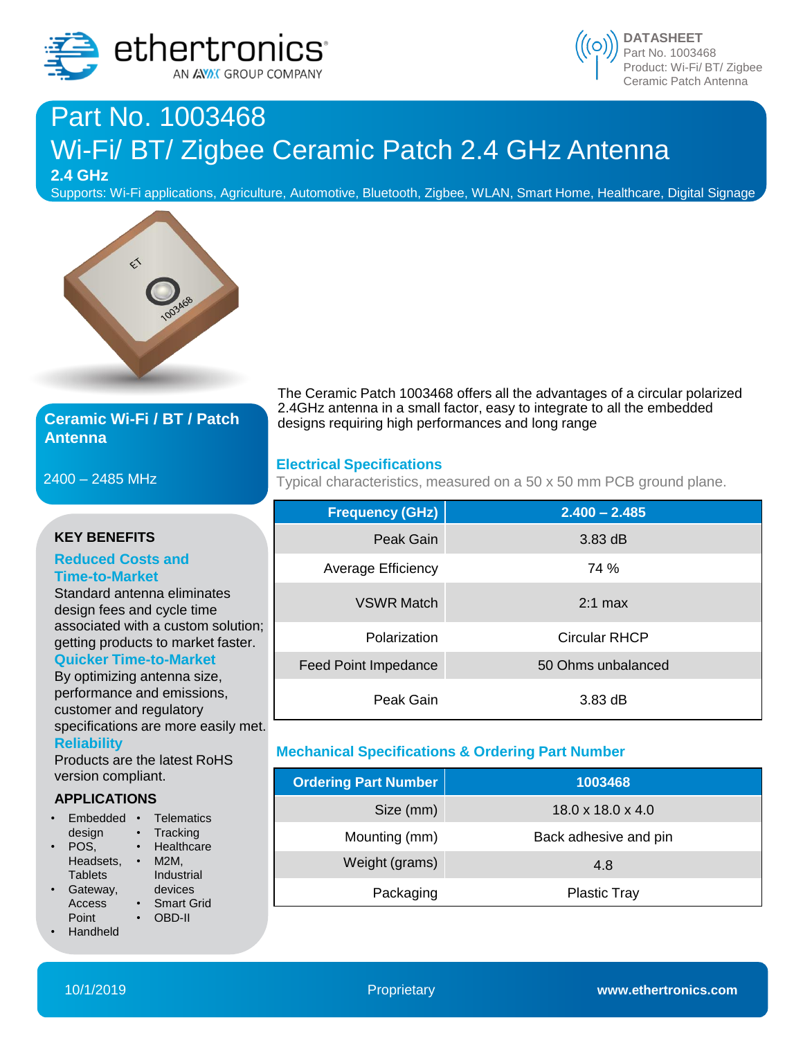



# Part No. 1003468 Wi-Fi/ BT/ Zigbee Ceramic Patch 2.4 GHz Antenna

**2.4 GHz**

Supports: Wi-Fi applications, Agriculture, Automotive, Bluetooth, Zigbee, WLAN, Smart Home, Healthcare, Digital Signage



## **Ceramic Wi-Fi / BT / Patch Antenna**

2400 – 2485 MHz

specifications are more easily met.

The Ceramic Patch 1003468 offers all the advantages of a circular polarized 2.4GHz antenna in a small factor, easy to integrate to all the embedded designs requiring high performances and long range

### **Electrical Specifications**

Typical characteristics, measured on a 50 x 50 mm PCB ground plane.

|                                                                                                                       | <b>Frequency (GHz)</b>      | $2.400 - 2.485$      |
|-----------------------------------------------------------------------------------------------------------------------|-----------------------------|----------------------|
| <b>KEY BENEFITS</b>                                                                                                   | Peak Gain                   | $3.83 \text{ dB}$    |
| <b>Reduced Costs and</b><br><b>Time-to-Market</b><br>Standard antenna eliminates<br>design fees and cycle time        | Average Efficiency          | 74 %                 |
|                                                                                                                       | <b>VSWR Match</b>           | $2:1$ max            |
| associated with a custom solution;<br>getting products to market faster.                                              | Polarization                | <b>Circular RHCP</b> |
| <b>Quicker Time-to-Market</b><br>By optimizing antenna size,<br>performance and emissions,<br>customer and regulatory | <b>Feed Point Impedance</b> | 50 Ohms unbalanced   |
|                                                                                                                       | Peak Gain                   | 3.83 dB              |

## **Mechanical Specifications & Ordering Part Number**

| <b>Ordering Part Number</b> | 1003468                       |
|-----------------------------|-------------------------------|
| Size (mm)                   | $18.0 \times 18.0 \times 4.0$ |
| Mounting (mm)               | Back adhesive and pin         |
| Weight (grams)              | 4.8                           |
| Packaging                   | <b>Plastic Tray</b>           |

Products are the latest RoHS version compliant.

#### **APPLICATIONS**

**Reliability**

• Embedded • Telematics design POS. Headsets, • M2M, **Tablets** Gateway, Access Point • Handheld **Tracking** • Healthcare Industrial devices • Smart Grid • OBD-II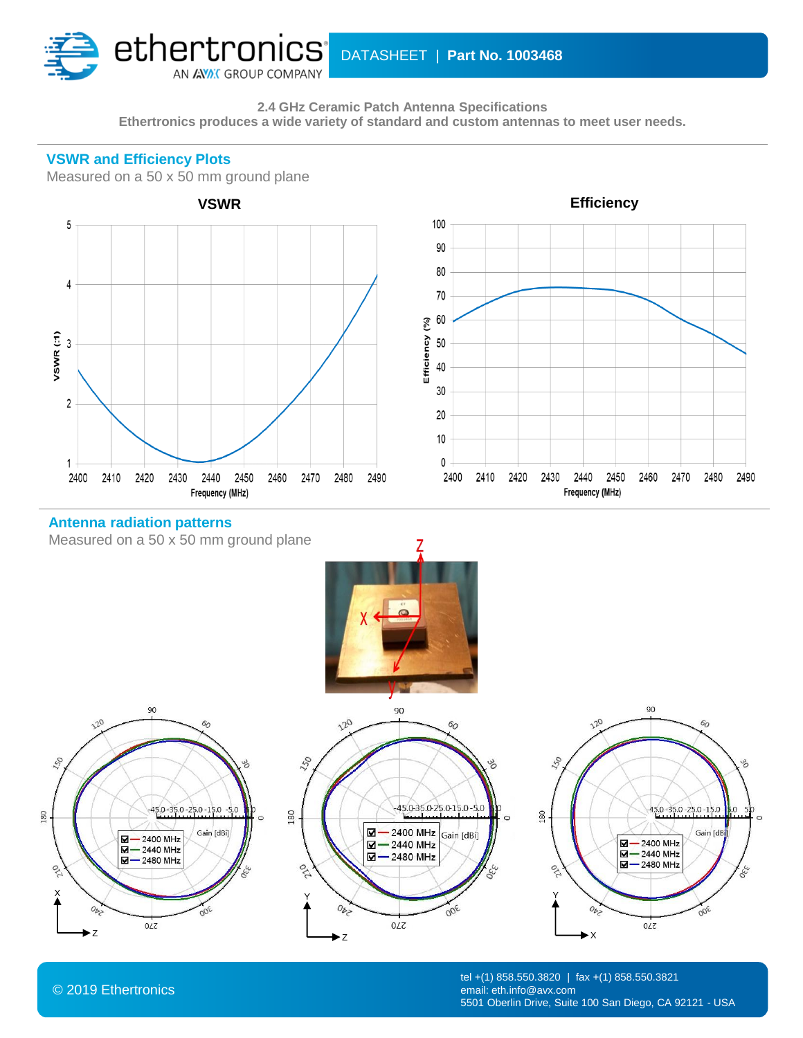

**VSWR and Efficiency Plots**

**2.4 GHz Ceramic Patch Antenna Specifications Ethertronics produces a wide variety of standard and custom antennas to meet user needs.**



© 2019 Ethertronics